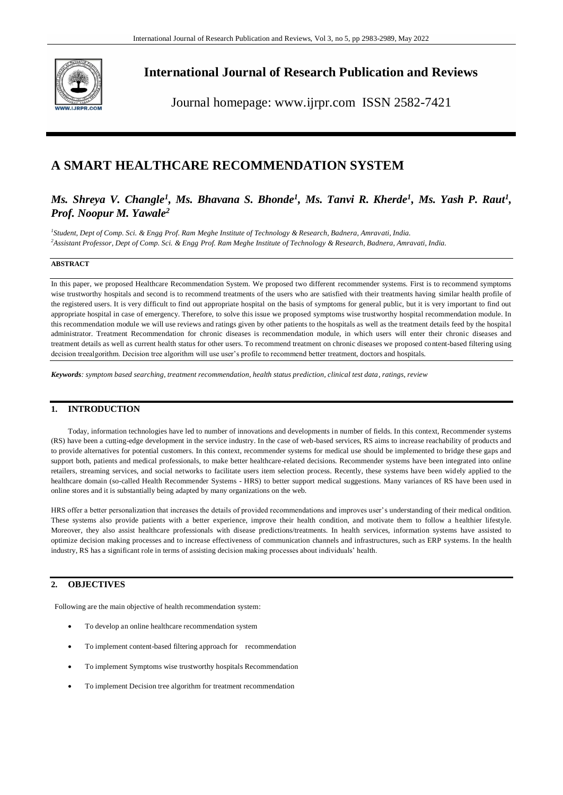

# **International Journal of Research Publication and Reviews**

Journal homepage: www.ijrpr.com ISSN 2582-7421

# **A SMART HEALTHCARE RECOMMENDATION SYSTEM**

# *Ms. Shreya V. Changle<sup>1</sup>, Ms. Bhavana S. Bhonde<sup>1</sup>, Ms. Tanvi R. Kherde<sup>1</sup>, Ms. Yash P. Raut<sup>1</sup>, Prof. Noopur M. Yawale<sup>2</sup>*

*1 Student, Dept of Comp. Sci. & Engg Prof. Ram Meghe Institute of Technology & Research, Badnera, Amravati, India. <sup>2</sup>Assistant Professor, Dept of Comp. Sci. & Engg Prof. Ram Meghe Institute of Technology & Research, Badnera, Amravati, India.*

## **ABSTRACT**

In this paper, we proposed Healthcare Recommendation System. We proposed two different recommender systems. First is to recommend symptoms wise trustworthy hospitals and second is to recommend treatments of the users who are satisfied with their treatments having similar health profile of the registered users. It is very difficult to find out appropriate hospital on the basis of symptoms for general public, but it is very important to find out appropriate hospital in case of emergency. Therefore, to solve this issue we proposed symptoms wise trustworthy hospital recommendation module. In this recommendation module we will use reviews and ratings given by other patients to the hospitals as well as the treatment details feed by the hospital administrator. Treatment Recommendation for chronic diseases is recommendation module, in which users will enter their chronic diseases and treatment details as well as current health status for other users. To recommend treatment on chronic diseases we proposed content-based filtering using decision treealgorithm. Decision tree algorithm will use user's profile to recommend better treatment, doctors and hospitals.

*Keywords: symptom based searching, treatment recommendation, health status prediction, clinical test data, ratings, review*

# **1. INTRODUCTION**

Today, information technologies have led to number of innovations and developments in number of fields. In this context, Recommender systems (RS) have been a cutting-edge development in the service industry. In the case of web-based services, RS aims to increase reachability of products and to provide alternatives for potential customers. In this context, recommender systems for medical use should be implemented to bridge these gaps and support both, patients and medical professionals, to make better healthcare-related decisions. Recommender systems have been integrated into online retailers, streaming services, and social networks to facilitate users item selection process. Recently, these systems have been widely applied to the healthcare domain (so-called Health Recommender Systems - HRS) to better support medical suggestions. Many variances of RS have been used in online stores and it is substantially being adapted by many organizations on the web.

HRS offer a better personalization that increases the details of provided recommendations and improves user's understanding of their medical ondition. These systems also provide patients with a better experience, improve their health condition, and motivate them to follow a healthier lifestyle. Moreover, they also assist healthcare professionals with disease predictions/treatments. In health services, information systems have assisted to optimize decision making processes and to increase effectiveness of communication channels and infrastructures, such as ERP systems. In the health industry, RS has a significant role in terms of assisting decision making processes about individuals' health.

# **2. OBJECTIVES**

Following are the main objective of health recommendation system:

- To develop an online healthcare recommendation system
- To implement content-based filtering approach for recommendation
- To implement Symptoms wise trustworthy hospitals Recommendation
- To implement Decision tree algorithm for treatment recommendation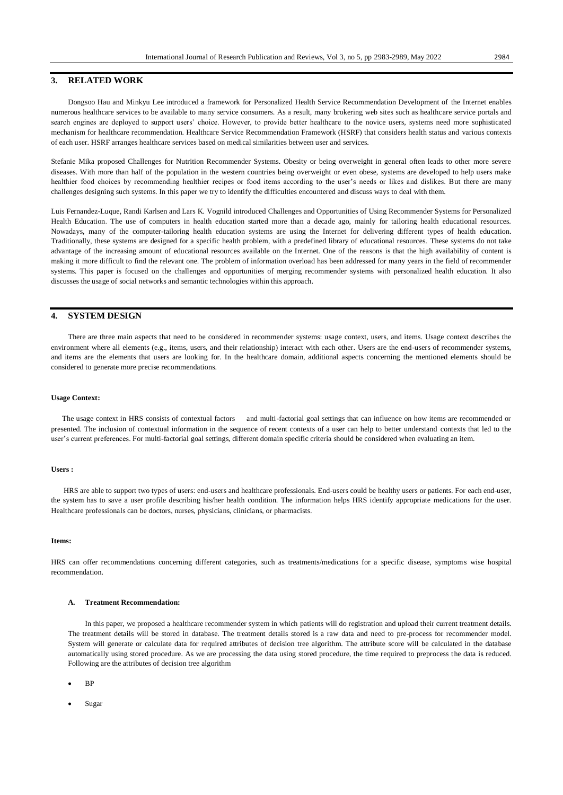# **3. RELATED WORK**

Dongsoo Hau and Minkyu Lee introduced a framework for Personalized Health Service Recommendation Development of the Internet enables numerous healthcare services to be available to many service consumers. As a result, many brokering web sites such as healthcare service portals and search engines are deployed to support users' choice. However, to provide better healthcare to the novice users, systems need more sophisticated mechanism for healthcare recommendation. Healthcare Service Recommendation Framework (HSRF) that considers health status and various contexts of each user. HSRF arranges healthcare services based on medical similarities between user and services.

Stefanie Mika proposed Challenges for Nutrition Recommender Systems. Obesity or being overweight in general often leads to other more severe diseases. With more than half of the population in the western countries being overweight or even obese, systems are developed to help users make healthier food choices by recommending healthier recipes or food items according to the user's needs or likes and dislikes. But there are many challenges designing such systems. In this paper we try to identify the difficulties encountered and discuss ways to deal with them.

Luis Fernandez-Luque, Randi Karlsen and Lars K. Vognild introduced Challenges and Opportunities of Using Recommender Systems for Personalized Health Education. The use of computers in health education started more than a decade ago, mainly for tailoring health educational resources. Nowadays, many of the computer-tailoring health education systems are using the Internet for delivering different types of health education. Traditionally, these systems are designed for a specific health problem, with a predefined library of educational resources. These systems do not take advantage of the increasing amount of educational resources available on the Internet. One of the reasons is that the high availability of content is making it more difficult to find the relevant one. The problem of information overload has been addressed for many years in the field of recommender systems. This paper is focused on the challenges and opportunities of merging recommender systems with personalized health education. It also discusses the usage of social networks and semantic technologies within this approach.

## **4. SYSTEM DESIGN**

There are three main aspects that need to be considered in recommender systems: usage context, users, and items. Usage context describes the environment where all elements (e.g., items, users, and their relationship) interact with each other. Users are the end-users of recommender systems, and items are the elements that users are looking for. In the healthcare domain, additional aspects concerning the mentioned elements should be considered to generate more precise recommendations.

#### **Usage Context:**

 The usage context in HRS consists of contextual factors and multi-factorial goal settings that can influence on how items are recommended or presented. The inclusion of contextual information in the sequence of recent contexts of a user can help to better understand contexts that led to the user's current preferences. For multi-factorial goal settings, different domain specific criteria should be considered when evaluating an item.

### **Users :**

HRS are able to support two types of users: end-users and healthcare professionals. End-users could be healthy users or patients. For each end-user, the system has to save a user profile describing his/her health condition. The information helps HRS identify appropriate medications for the user. Healthcare professionals can be doctors, nurses, physicians, clinicians, or pharmacists.

#### **Items:**

HRS can offer recommendations concerning different categories, such as treatments/medications for a specific disease, symptoms wise hospital recommendation.

## **A. Treatment Recommendation:**

In this paper, we proposed a healthcare recommender system in which patients will do registration and upload their current treatment details. The treatment details will be stored in database. The treatment details stored is a raw data and need to pre-process for recommender model. System will generate or calculate data for required attributes of decision tree algorithm. The attribute score will be calculated in the database automatically using stored procedure. As we are processing the data using stored procedure, the time required to preprocess the data is reduced. Following are the attributes of decision tree algorithm

BP

Sugar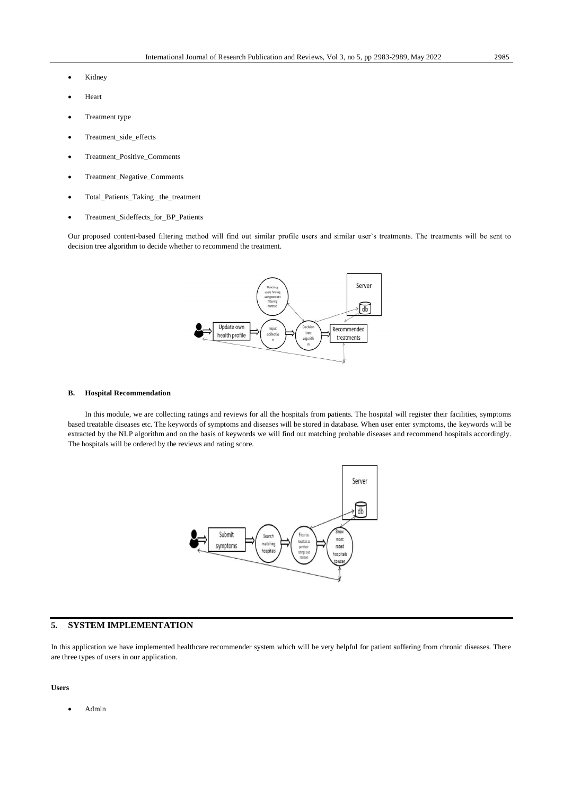- Kidney
- Heart
- Treatment type
- Treatment\_side\_effects
- Treatment\_Positive\_Comments
- Treatment\_Negative\_Comments
- Total\_Patients\_Taking \_the\_treatment
- Treatment\_Sideffects\_for\_BP\_Patients

Our proposed content-based filtering method will find out similar profile users and similar user's treatments. The treatments will be sent to decision tree algorithm to decide whether to recommend the treatment.



#### **B. Hospital Recommendation**

In this module, we are collecting ratings and reviews for all the hospitals from patients. The hospital will register their facilities, symptoms based treatable diseases etc. The keywords of symptoms and diseases will be stored in database. When user enter symptoms, the keywords will be extracted by the NLP algorithm and on the basis of keywords we will find out matching probable diseases and recommend hospitals accordingly. The hospitals will be ordered by the reviews and rating score.



## **5. SYSTEM IMPLEMENTATION**

In this application we have implemented healthcare recommender system which will be very helpful for patient suffering from chronic diseases. There are three types of users in our application.

#### **Users**

Admin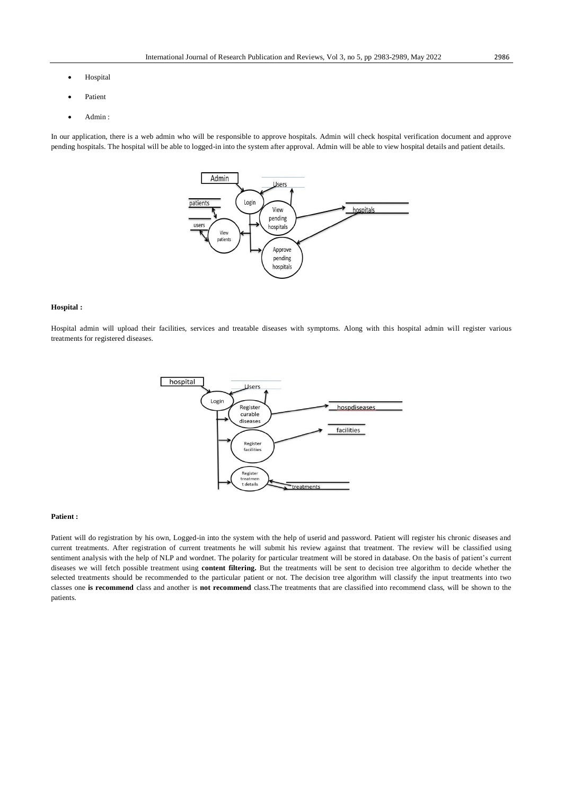- Hospital
- Patient
- Admin :

In our application, there is a web admin who will be responsible to approve hospitals. Admin will check hospital verification document and approve pending hospitals. The hospital will be able to logged-in into the system after approval. Admin will be able to view hospital details and patient details.



### **Hospital :**

Hospital admin will upload their facilities, services and treatable diseases with symptoms. Along with this hospital admin will register various treatments for registered diseases.



#### **Patient :**

Patient will do registration by his own, Logged-in into the system with the help of userid and password. Patient will register his chronic diseases and current treatments. After registration of current treatments he will submit his review against that treatment. The review will be classified using sentiment analysis with the help of NLP and wordnet. The polarity for particular treatment will be stored in database. On the basis of patient's current diseases we will fetch possible treatment using **content filtering.** But the treatments will be sent to decision tree algorithm to decide whether the selected treatments should be recommended to the particular patient or not. The decision tree algorithm will classify the input treatments into two classes one **is recommend** class and another is **not recommend** class.The treatments that are classified into recommend class, will be shown to the patients.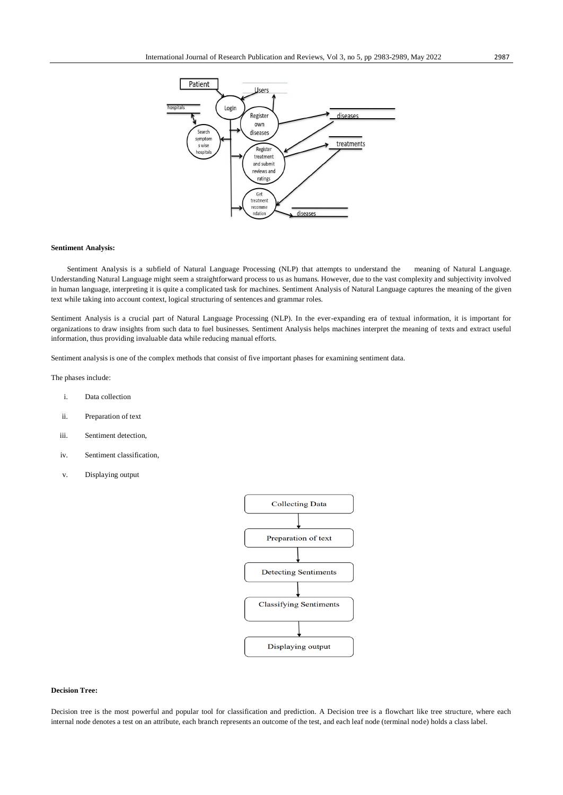

#### **Sentiment Analysis:**

Sentiment Analysis is a subfield of Natural Language Processing (NLP) that attempts to understand the meaning of Natural Language. Understanding Natural Language might seem a straightforward process to us as humans. However, due to the vast complexity and subjectivity involved in human language, interpreting it is quite a complicated task for machines. Sentiment Analysis of Natural Language captures the meaning of the given text while taking into account context, logical structuring of sentences and grammar roles.

Sentiment Analysis is a crucial part of Natural Language Processing (NLP). In the ever-expanding era of textual information, it is important for organizations to draw insights from such data to fuel businesses. Sentiment Analysis helps machines interpret the meaning of texts and extract useful information, thus providing invaluable data while reducing manual efforts.

Sentiment analysis is one of the complex methods that consist of five important phases for examining sentiment data.

The phases include:

- i. Data collection
- ii. Preparation of text
- iii. Sentiment detection,
- iv. Sentiment classification,
- v. Displaying output



#### **Decision Tree:**

Decision tree is the most powerful and popular tool for classification and prediction. A Decision tree is a flowchart like tree structure, where each internal node denotes a test on an attribute, each branch represents an outcome of the test, and each leaf node (terminal node) holds a class label.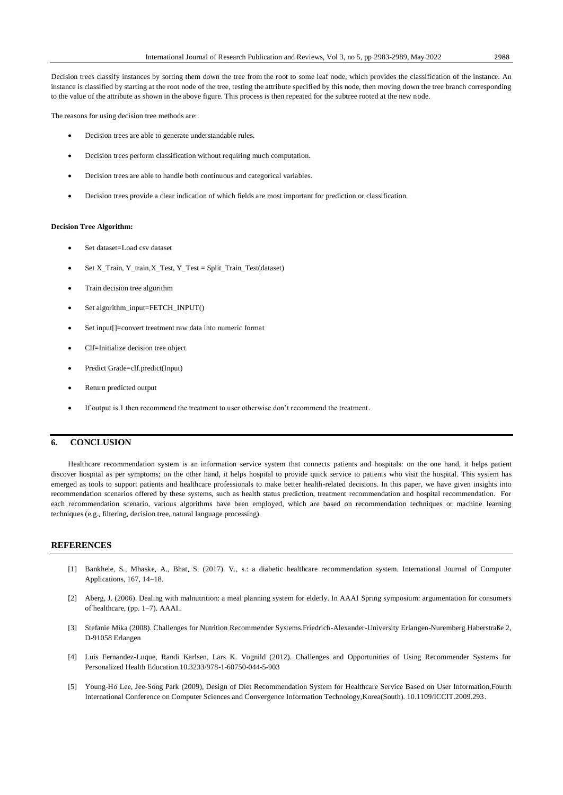Decision trees classify instances by sorting them down the tree from the root to some leaf node, which provides the classification of the instance. An instance is classified by starting at the root node of the tree, testing the attribute specified by this node, then moving down the tree branch corresponding to the value of the attribute as shown in the above figure. This process is then repeated for the subtree rooted at the new node.

The reasons for using decision tree methods are:

- Decision trees are able to generate understandable rules.
- Decision trees perform classification without requiring much computation.
- Decision trees are able to handle both continuous and categorical variables.
- Decision trees provide a clear indication of which fields are most important for prediction or classification.

#### **Decision Tree Algorithm:**

- Set dataset=Load csv dataset
- Set X\_Train, Y\_train, X\_Test, Y\_Test = Split\_Train\_Test(dataset)
- Train decision tree algorithm
- Set algorithm\_input=FETCH\_INPUT()
- Set input[]=convert treatment raw data into numeric format
- Clf=Initialize decision tree object
- Predict Grade=clf.predict(Input)
- Return predicted output
- If output is 1 then recommend the treatment to user otherwise don't recommend the treatment.

### **6. CONCLUSION**

Healthcare recommendation system is an information service system that connects patients and hospitals: on the one hand, it helps patient discover hospital as per symptoms; on the other hand, it helps hospital to provide quick service to patients who visit the hospital. This system has emerged as tools to support patients and healthcare professionals to make better health-related decisions. In this paper, we have given insights into recommendation scenarios offered by these systems, such as health status prediction, treatment recommendation and hospital recommendation. For each recommendation scenario, various algorithms have been employed, which are based on recommendation techniques or machine learning techniques (e.g., filtering, decision tree, natural language processing).

## **REFERENCES**

- [1] Bankhele, S., Mhaske, A., Bhat, S. (2017). V., s.: a diabetic healthcare recommendation system. International Journal of Computer Applications, 167, 14–18.
- [2] Aberg, J. (2006). Dealing with malnutrition: a meal planning system for elderly. In AAAI Spring symposium: argumentation for consumers of healthcare, (pp. 1–7). AAAI..
- [3] Stefanie Mika (2008). Challenges for Nutrition Recommender Systems.Friedrich-Alexander-University Erlangen-Nuremberg Haberstraße 2, D-91058 Erlangen
- [4] Luis Fernandez-Luque, Randi Karlsen, Lars K. Vognild (2012). Challenges and Opportunities of Using Recommender Systems for Personalized Health Education.10.3233/978-1-60750-044-5-903
- [5] Young-Ho Lee, Jee-Song Park (2009), Design of Diet Recommendation System for Healthcare Service Based on User Information,Fourth International Conference on Computer Sciences and Convergence Information Technology,Korea(South). 10.1109/ICCIT.2009.293.